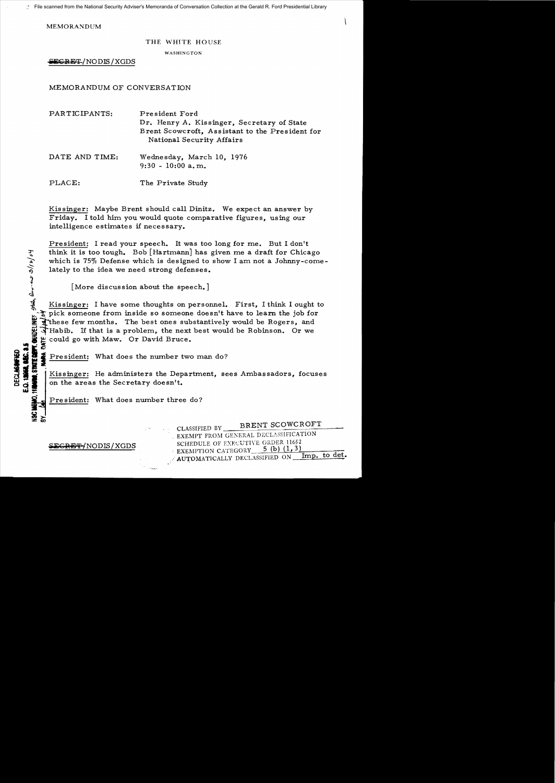**MEMORANDUM** 

## THE WHITE HOUSE

WASHINGTON

SECRET/NODIS/XGDS

MEMORANDUM OF CONVERSATION

| PARTICIPANTS:  | President Ford<br>Dr. Henry A. Kissinger, Secretary of State<br>Brent Scowcroft, Assistant to the President for<br>National Security Affairs |
|----------------|----------------------------------------------------------------------------------------------------------------------------------------------|
| DATE AND TIME: | Wednesday, March 10, 1976<br>$9:30 - 10:00$ a.m.                                                                                             |
| PLACE:         | The Private Study                                                                                                                            |

Kissinger: Maybe Brent should call Dinitz. We expect an answer by Friday. I told him you would quote comparative figures, using our intelligence estimates if necessary.

President: I read your speech. It was too long for me. But I don't think it is too tough. Bob [Hartmann] has given me a draft for Chicago which is  $75\%$  Defense which is designed to show I am not a Johnny-comelately to the idea we need strong defenses. think it is too tough. Bob [Hartmann] has given me a draft for Chicago<br>which is 75% Defense which is designed to show I am not a Johnny-come<br>lately to the idea we need strong defenses.<br>[More discussion about the speech.]<br>K

[More discussion about the speech.]

 $\frac{1}{2}$ . The pick someone from inside so someone doesn't have to learn the job for  $\frac{1}{2}$  these few months. The best ones substantively would be Rogers, and  $\frac{1}{2}$  Habib. If that is a problem, the next best would These few months. The best ones substantively would be Rogers, and ~Habib. If that is a probler.n, the next best would be Robinson. Or we

<sup>i</sup>~ could go with Maw. Or David Bruce. I**Ii**=E~**II** President: What does the nwnber two man do?

Kissinger: He administers the Department, sees Ambassadors, focuses on the areas the Secretary doesn't.

President: What does number three do?

CLASSIFIED BY BRENT SCOWCROFT . EXEMPT FROM GENERAL DECLASSIFICATION **GRET/NODIS/XGDS** SCHEDULE OF EXECUTIVE ORDER 11652 AUTOMATICALLY DECLASSIFIED ON Imp. to det.

**w=**,.

~>:z: co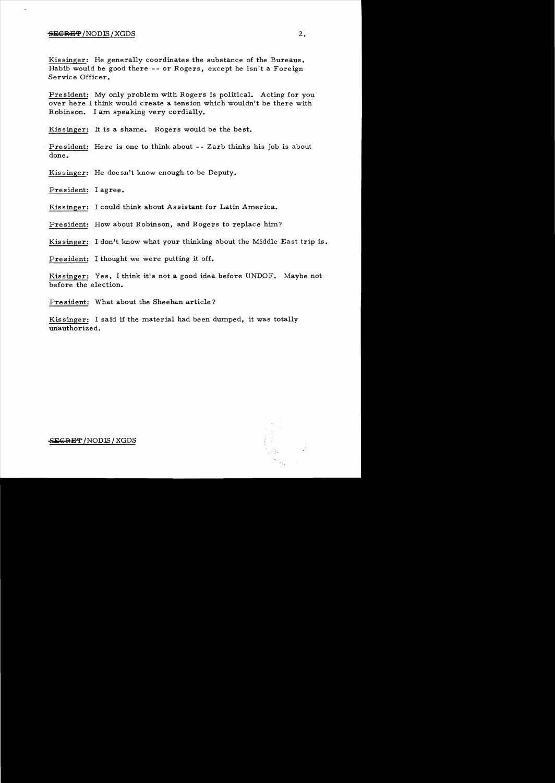## $S$  is the set of  $S$  /XGDS  $2$  .

Kissinger: He generally coordinates the substance of the Bureaus. Habib would be good there -- or Rogers, except he isn't a Foreign Service Officer.

President: My only problem with Rogers is political. Acting for you over here I think would create a tension which wouldn't be there with Robinson. I am speaking very cordially.

Kissinger: It is a shame. Rogers would be the best.

President: Here is one to think about -- Zarb thinks his job is about done.

Kissinger: He doesn't know enough to be Deputy.

President: I agree.

Kissinger: I could think about Assistant for Latin America.

President: How about Robinson, and Rogers to replace him?

Kissinger: I don't know what your thinking about the Middle East trip is.

President: I thought we were putting it off.

Kissinger: Yes, I think it's not a good idea before UNDOF. Maybe not before the election.

President: What about the Sheehan article?

Kissinger: I said if the material had been dumped, it was totally unauthorized.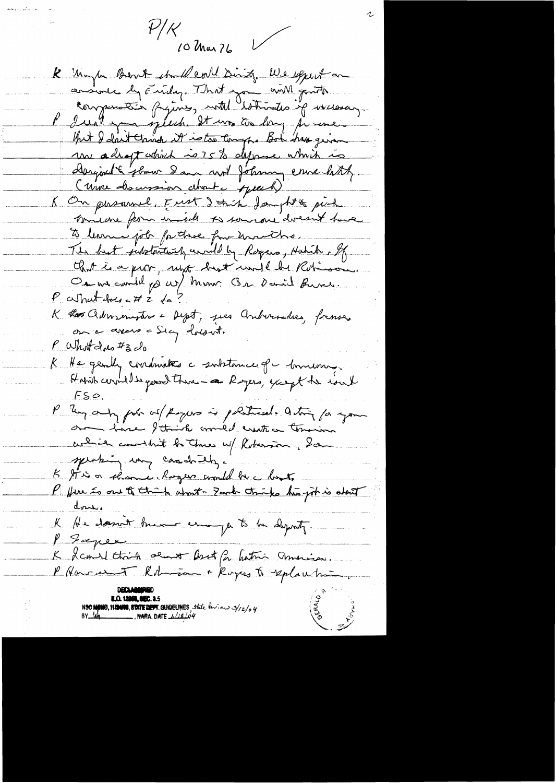$\mathcal{V}/\mathcal{K}$  $\sqrt{}$ 10 Mar 76

R Maybe Bent stall coll Ding. We expect on ausiere ly Euidez. That you anill grute l'Irealt you speech. It was too long per une. But I don't think it is to tompho Bot has given une adrapt which is 75 to define which is Dergious & flow I am not Johnny era bitch. (une discussion about years) K On pusamel, Fust I this Jamph & pick minene from inde to somare doesn't have to learne pote for these four unauths. The best jubitaritary caviled by Royces, Hatch , of that is a proon, myt hast under Robinson On an could go us/ mon. On Daniel fune.  $P$  contracted to  $Z$  do K Ro Chinemative - Dept, pes Andersalees, frances on a avers a Sicy dolout. P What due #3 do R He gendy coordonates a substance of mourning Habit correlle good there- a Regers, except the rout  $FSQ.$ P ley any pot of Royers is political. acting for your on have I think would erente a termin celier comment la Tour up Roberton, San speaking un casado el . K It is a showner haper would be a lost. P fere as one of think about - Zank thinks his joh is about <u>done.</u> K He doesn't know enough to be deporty. P Saper K Ramed think oeunt Aset for hatri America. NSO MENIO, NINUIS, STATE DENT. GUIDELINES, state luien 3/12/04